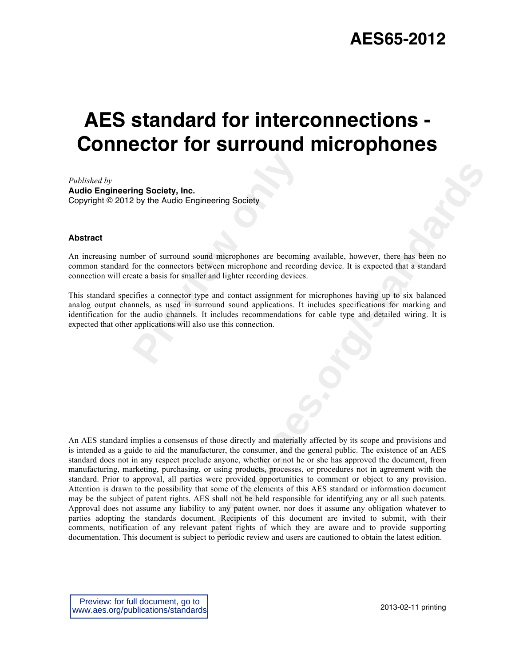# **AES standard for interconnections - Connector for surround microphones**

*Published by*  **Audio Engineering Society, Inc.** Copyright © 2012 by the Audio Engineering Society

#### **Abstract**

An increasing number of surround sound microphones are becoming available, however, there has been no common standard for the connectors between microphone and recording device. It is expected that a standard connection will create a basis for smaller and lighter recording devices.

**Properties:** The Audio Engineering Society<br>
Preview the Audio Engineering Society<br>
Preview of surround sound microphones are becomin<br>
for the connectors between microphone and record<br>
ata a basis for smaller and lighter r This standard specifies a connector type and contact assignment for microphones having up to six balanced analog output channels, as used in surround sound applications. It includes specifications for marking and identification for the audio channels. It includes recommendations for cable type and detailed wiring. It is expected that other applications will also use this connection.

**Example 10**<br> **weater microphones are becoming available, however, there has been no<br>
memperophones and recording device. It is expected that a standard<br>
and lighter recording devices.<br>
and contact assignment for microphon** An AES standard implies a consensus of those directly and materially affected by its scope and provisions and is intended as a guide to aid the manufacturer, the consumer, and the general public. The existence of an AES standard does not in any respect preclude anyone, whether or not he or she has approved the document, from manufacturing, marketing, purchasing, or using products, processes, or procedures not in agreement with the standard. Prior to approval, all parties were provided opportunities to comment or object to any provision. Attention is drawn to the possibility that some of the elements of this AES standard or information document may be the subject of patent rights. AES shall not be held responsible for identifying any or all such patents. Approval does not assume any liability to any patent owner, nor does it assume any obligation whatever to parties adopting the standards document. Recipients of this document are invited to submit, with their comments, notification of any relevant patent rights of which they are aware and to provide supporting documentation. This document is subject to periodic review and users are cautioned to obtain the latest edition.

Preview: for full document, go to www.aes.org/publications/standards

2013-02-11 printing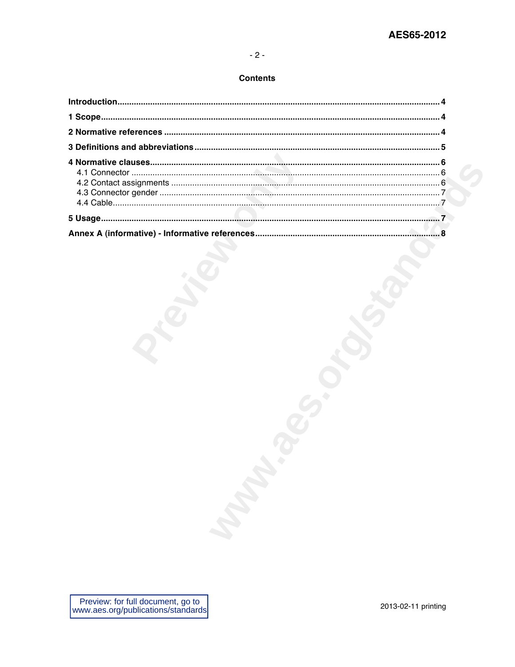### **Contents**

| <b>MARK</b> |  |
|-------------|--|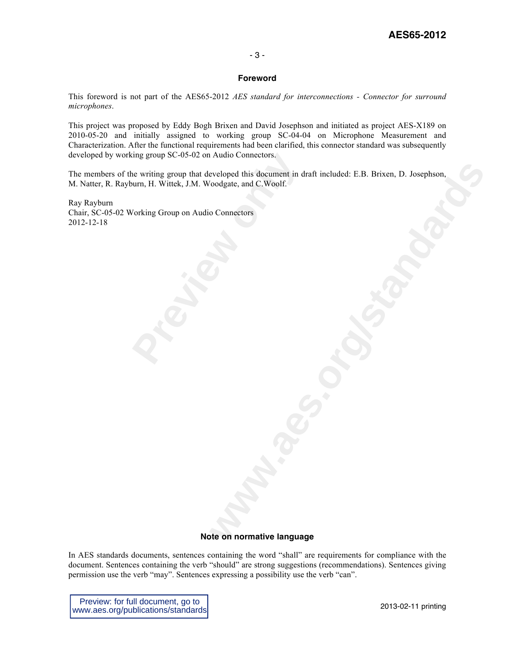# **AES65-2012**

#### - 3 -

#### **Foreword**

This foreword is not part of the AES65-2012 *AES standard for interconnections - Connector for surround microphones*.

This project was proposed by Eddy Bogh Brixen and David Josephson and initiated as project AES-X189 on 2010-05-20 and initially assigned to working group SC-04-04 on Microphone Measurement and Characterization. After the functional requirements had been clarified, this connector standard was subsequently developed by working group SC-05-02 on Audio Connectors.

**www.aes.org/standards** The members of the writing group that developed this document in draft included: E.B. Brixen, D. Josephson, M. Natter, R. Rayburn, H. Wittek, J.M. Woodgate, and C.Woolf.

ring group SC-05-02 on Audio Connectors.<br>
Ne writing group that developed this document in down, H. Wittek, J.M. Woodgate, and C.Woolf.<br>
Vorking Group on Audio Connectors Ray Rayburn Chair, SC-05-02 Working Group on Audio Connectors 2012-12-18

#### **Note on normative language**

In AES standards documents, sentences containing the word "shall" are requirements for compliance with the document. Sentences containing the verb "should" are strong suggestions (recommendations). Sentences giving permission use the verb "may". Sentences expressing a possibility use the verb "can".

Preview: for full document, go to www.aes.org/publications/standards

2013-02-11 printing